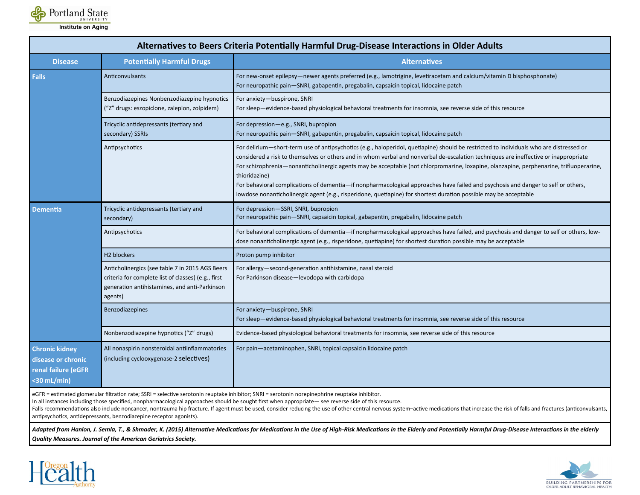

| <b>Disease</b><br><b>Falls</b>                                                       | <b>Potentially Harmful Drugs</b><br>Anticonvulsants                                                                                                     | <b>Alternatives</b><br>For new-onset epilepsy-newer agents preferred (e.g., lamotrigine, levetiracetam and calcium/vitamin D bisphosphonate)                                                                                                                                                                                                                                                                                                                                                                                                                                                                                                                                                          |
|--------------------------------------------------------------------------------------|---------------------------------------------------------------------------------------------------------------------------------------------------------|-------------------------------------------------------------------------------------------------------------------------------------------------------------------------------------------------------------------------------------------------------------------------------------------------------------------------------------------------------------------------------------------------------------------------------------------------------------------------------------------------------------------------------------------------------------------------------------------------------------------------------------------------------------------------------------------------------|
|                                                                                      |                                                                                                                                                         |                                                                                                                                                                                                                                                                                                                                                                                                                                                                                                                                                                                                                                                                                                       |
|                                                                                      |                                                                                                                                                         | For neuropathic pain-SNRI, gabapentin, pregabalin, capsaicin topical, lidocaine patch                                                                                                                                                                                                                                                                                                                                                                                                                                                                                                                                                                                                                 |
|                                                                                      | Benzodiazepines Nonbenzodiazepine hypnotics<br>("Z" drugs: eszopiclone, zaleplon, zolpidem)                                                             | For anxiety-buspirone, SNRI<br>For sleep—evidence-based physiological behavioral treatments for insomnia, see reverse side of this resource                                                                                                                                                                                                                                                                                                                                                                                                                                                                                                                                                           |
|                                                                                      | Tricyclic antidepressants (tertiary and<br>secondary) SSRIs                                                                                             | For depression-e.g., SNRI, bupropion<br>For neuropathic pain-SNRI, gabapentin, pregabalin, capsaicin topical, lidocaine patch                                                                                                                                                                                                                                                                                                                                                                                                                                                                                                                                                                         |
|                                                                                      | Antipsychotics                                                                                                                                          | For delirium-short-term use of antipsychotics (e.g., haloperidol, quetiapine) should be restricted to individuals who are distressed or<br>considered a risk to themselves or others and in whom verbal and nonverbal de-escalation techniques are ineffective or inappropriate<br>For schizophrenia—nonanticholinergic agents may be acceptable (not chlorpromazine, loxapine, olanzapine, perphenazine, trifluoperazine,<br>thioridazine)<br>For behavioral complications of dementia-if nonpharmacological approaches have failed and psychosis and danger to self or others,<br>lowdose nonanticholinergic agent (e.g., risperidone, quetiapine) for shortest duration possible may be acceptable |
| <b>Dementia</b>                                                                      | Tricyclic antidepressants (tertiary and<br>secondary)                                                                                                   | For depression-SSRI, SNRI, bupropion<br>For neuropathic pain-SNRI, capsaicin topical, gabapentin, pregabalin, lidocaine patch                                                                                                                                                                                                                                                                                                                                                                                                                                                                                                                                                                         |
|                                                                                      | Antipsychotics                                                                                                                                          | For behavioral complications of dementia—if nonpharmacological approaches have failed, and psychosis and danger to self or others, low-<br>dose nonanticholinergic agent (e.g., risperidone, quetiapine) for shortest duration possible may be acceptable                                                                                                                                                                                                                                                                                                                                                                                                                                             |
|                                                                                      | H <sub>2</sub> blockers                                                                                                                                 | Proton pump inhibitor                                                                                                                                                                                                                                                                                                                                                                                                                                                                                                                                                                                                                                                                                 |
| agents)                                                                              | Anticholinergics (see table 7 in 2015 AGS Beers<br>criteria for complete list of classes) (e.g., first<br>generation antihistamines, and anti-Parkinson | For allergy-second-generation antihistamine, nasal steroid<br>For Parkinson disease-levodopa with carbidopa                                                                                                                                                                                                                                                                                                                                                                                                                                                                                                                                                                                           |
|                                                                                      | Benzodiazepines                                                                                                                                         | For anxiety-buspirone, SNRI<br>For sleep-evidence-based physiological behavioral treatments for insomnia, see reverse side of this resource                                                                                                                                                                                                                                                                                                                                                                                                                                                                                                                                                           |
|                                                                                      | Nonbenzodiazepine hypnotics ("Z" drugs)                                                                                                                 | Evidence-based physiological behavioral treatments for insomnia, see reverse side of this resource                                                                                                                                                                                                                                                                                                                                                                                                                                                                                                                                                                                                    |
| <b>Chronic kidney</b><br>disease or chronic<br>renal failure (eGFR<br>$<$ 30 mL/min) | All nonaspirin nonsteroidal antiinflammatories<br>(including cyclooxygenase-2 selectives)                                                               | For pain-acetaminophen, SNRI, topical capsaicin lidocaine patch                                                                                                                                                                                                                                                                                                                                                                                                                                                                                                                                                                                                                                       |

eGFR = estimated glomerular filtration rate; SSRI = selective serotonin reuptake inhibitor; SNRI = serotonin norepinephrine reuptake inhibitor.

In all instances including those specified, nonpharmacological approaches should be sought first when appropriate— see reverse side of this resource.

Falls recommendations also include noncancer, nontrauma hip fracture. If agent must be used, consider reducing the use of other central nervous system-active medications that increase the risk of falls and fractures (antic antipsychotics, antidepressants, benzodiazepine receptor agonists).

Adapted from Hanlon, J. Semla, T., & Shmader, K. (2015) Alternative Medications for Medications in the Use of High-Risk Medications in the Elderly and Potentially Harmful Drug-Disease Interactions in the elderly *Quality Measures. Journal of the American Geriatrics Society.*